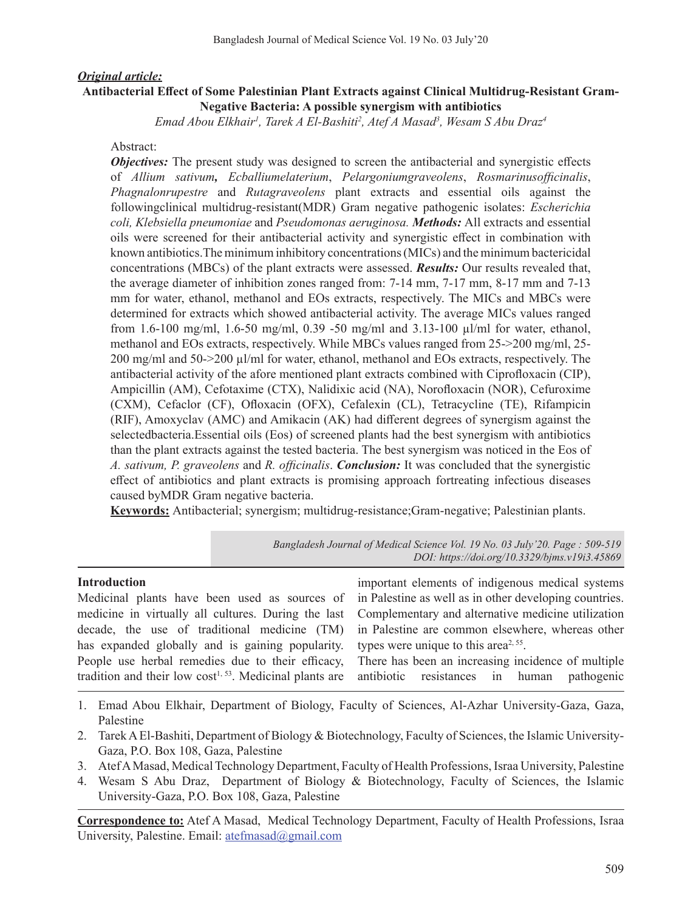# *Original article:*

## **Antibacterial Effect of Some Palestinian Plant Extracts against Clinical Multidrug-Resistant Gram-Negative Bacteria: A possible synergism with antibiotics**

*Emad Abou Elkhair1 , Tarek A El-Bashiti2 , Atef A Masad3 , Wesam S Abu Draz4*

#### Abstract:

*Objectives:* The present study was designed to screen the antibacterial and synergistic effects of *Allium sativum, Ecballiumelaterium*, *Pelargoniumgraveolens*, *Rosmarinusofficinalis*, *Phagnalonrupestre* and *Rutagraveolens* plant extracts and essential oils against the followingclinical multidrug-resistant(MDR) Gram negative pathogenic isolates: *Escherichia coli, Klebsiella pneumoniae* and *Pseudomonas aeruginosa. Methods:* All extracts and essential oils were screened for their antibacterial activity and synergistic effect in combination with known antibiotics.The minimum inhibitory concentrations(MICs) and the minimum bactericidal concentrations (MBCs) of the plant extracts were assessed. *Results:* Our results revealed that, the average diameter of inhibition zones ranged from: 7-14 mm, 7-17 mm, 8-17 mm and 7-13 mm for water, ethanol, methanol and EOs extracts, respectively. The MICs and MBCs were determined for extracts which showed antibacterial activity. The average MICs values ranged from 1.6-100 mg/ml, 1.6-50 mg/ml, 0.39 -50 mg/ml and 3.13-100 µl/ml for water, ethanol, methanol and EOs extracts, respectively. While MBCs values ranged from 25->200 mg/ml, 25- 200 mg/ml and 50->200 µl/ml for water, ethanol, methanol and EOs extracts, respectively. The antibacterial activity of the afore mentioned plant extracts combined with Ciprofloxacin (CIP), Ampicillin (AM), Cefotaxime (CTX), Nalidixic acid (NA), Norofloxacin (NOR), Cefuroxime (CXM), Cefaclor (CF), Ofloxacin (OFX), Cefalexin (CL), Tetracycline (TE), Rifampicin (RIF), Amoxyclav (AMC) and Amikacin (AK) had different degrees of synergism against the selectedbacteria.Essential oils (Eos) of screened plants had the best synergism with antibiotics than the plant extracts against the tested bacteria. The best synergism was noticed in the Eos of *A. sativum, P. graveolens* and *R. officinalis*. *Conclusion:* It was concluded that the synergistic effect of antibiotics and plant extracts is promising approach fortreating infectious diseases caused byMDR Gram negative bacteria.

**Keywords:** Antibacterial; synergism; multidrug-resistance;Gram-negative; Palestinian plants.

*Bangladesh Journal of Medical Science Vol. 19 No. 03 July'20. Page : 509-519 DOI: https://doi.org/10.3329/bjms.v19i3.45869*

#### **Introduction**

Medicinal plants have been used as sources of medicine in virtually all cultures. During the last decade, the use of traditional medicine (TM) has expanded globally and is gaining popularity. People use herbal remedies due to their efficacy, tradition and their low  $cost<sup>1, 53</sup>$ . Medicinal plants are

important elements of indigenous medical systems in Palestine as well as in other developing countries. Complementary and alternative medicine utilization in Palestine are common elsewhere, whereas other types were unique to this area<sup> $2, 55$ </sup>.

There has been an increasing incidence of multiple antibiotic resistances in human pathogenic

- 1. Emad Abou Elkhair, Department of Biology, Faculty of Sciences, Al-Azhar University-Gaza, Gaza, Palestine
- 2. TarekAEl-Bashiti, Department of Biology & Biotechnology, Faculty of Sciences, the Islamic University-Gaza, P.O. Box 108, Gaza, Palestine
- 3. Atef A Masad, Medical Technology Department, Faculty of Health Professions, Israa University, Palestine
- 4. Wesam S Abu Draz, Department of Biology & Biotechnology, Faculty of Sciences, the Islamic University-Gaza, P.O. Box 108, Gaza, Palestine

**Correspondence to:** Atef A Masad, Medical Technology Department, Faculty of Health Professions, Israa University, Palestine. Email: atefmasad@gmail.com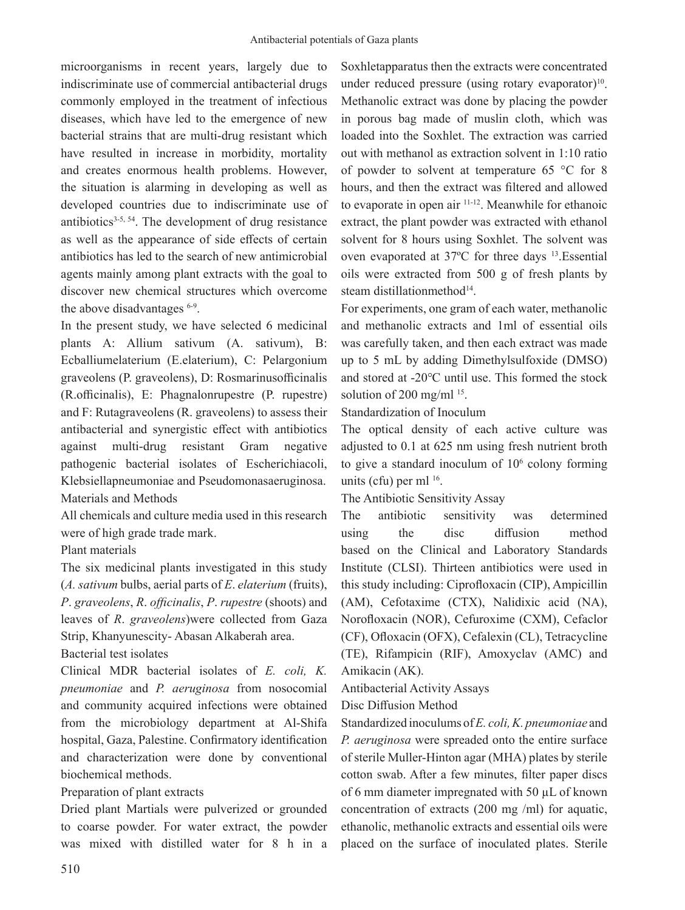microorganisms in recent years, largely due to indiscriminate use of commercial antibacterial drugs commonly employed in the treatment of infectious diseases, which have led to the emergence of new bacterial strains that are multi-drug resistant which have resulted in increase in morbidity, mortality and creates enormous health problems. However, the situation is alarming in developing as well as developed countries due to indiscriminate use of antibiotics $3-5$ ,  $54$ . The development of drug resistance as well as the appearance of side effects of certain antibiotics has led to the search of new antimicrobial agents mainly among plant extracts with the goal to discover new chemical structures which overcome the above disadvantages 6-9.

In the present study, we have selected 6 medicinal plants A: Allium sativum (A. sativum), B: Ecballiumelaterium (E.elaterium), C: Pelargonium graveolens (P. graveolens), D: Rosmarinusofficinalis (R.officinalis), E: Phagnalonrupestre (P. rupestre) and F: Rutagraveolens (R. graveolens) to assess their antibacterial and synergistic effect with antibiotics against multi-drug resistant Gram negative pathogenic bacterial isolates of Escherichiacoli, Klebsiellapneumoniae and Pseudomonasaeruginosa. Materials and Methods

All chemicals and culture media used in this research were of high grade trade mark.

Plant materials

The six medicinal plants investigated in this study (*A. sativum* bulbs, aerial parts of *E*. *elaterium* (fruits), *P*. *graveolens*, *R*. *officinalis*, *P*. *rupestre* (shoots) and leaves of *R*. *graveolens*)were collected from Gaza Strip, Khanyunescity- Abasan Alkaberah area.

Bacterial test isolates

Clinical MDR bacterial isolates of *E. coli, K. pneumoniae* and *P. aeruginosa* from nosocomial and community acquired infections were obtained from the microbiology department at Al-Shifa hospital, Gaza, Palestine. Confirmatory identification and characterization were done by conventional biochemical methods.

Preparation of plant extracts

Dried plant Martials were pulverized or grounded to coarse powder. For water extract, the powder was mixed with distilled water for 8 h in a Soxhletapparatus then the extracts were concentrated under reduced pressure (using rotary evaporator) $10$ . Methanolic extract was done by placing the powder in porous bag made of muslin cloth, which was loaded into the Soxhlet. The extraction was carried out with methanol as extraction solvent in 1:10 ratio of powder to solvent at temperature 65 °C for 8 hours, and then the extract was filtered and allowed to evaporate in open air 11-12. Meanwhile for ethanoic extract, the plant powder was extracted with ethanol solvent for 8 hours using Soxhlet. The solvent was oven evaporated at 37ºC for three days 13.Essential oils were extracted from 500 g of fresh plants by steam distillationmethod<sup>14</sup>.

For experiments, one gram of each water, methanolic and methanolic extracts and 1ml of essential oils was carefully taken, and then each extract was made up to 5 mL by adding Dimethylsulfoxide (DMSO) and stored at -20℃ until use. This formed the stock solution of 200 mg/ml  $^{15}$ .

Standardization of Inoculum

The optical density of each active culture was adjusted to 0.1 at 625 nm using fresh nutrient broth to give a standard inoculum of  $10<sup>6</sup>$  colony forming units (cfu) per m $1^{16}$ .

#### The Antibiotic Sensitivity Assay

The antibiotic sensitivity was determined using the disc diffusion method based on the Clinical and Laboratory Standards Institute (CLSI). Thirteen antibiotics were used in this study including: Ciprofloxacin (CIP), Ampicillin (AM), Cefotaxime (CTX), Nalidixic acid (NA), Norofloxacin (NOR), Cefuroxime (CXM), Cefaclor (CF), Ofloxacin (OFX), Cefalexin (CL), Tetracycline (TE), Rifampicin (RIF), Amoxyclav (AMC) and Amikacin (AK).

Antibacterial Activity Assays

Disc Diffusion Method

Standardized inoculums of *E. coli, K. pneumoniae* and *P. aeruginosa* were spreaded onto the entire surface of sterile Muller-Hinton agar (MHA) plates by sterile cotton swab. After a few minutes, filter paper discs of 6 mm diameter impregnated with 50 µL of known concentration of extracts (200 mg /ml) for aquatic, ethanolic, methanolic extracts and essential oils were placed on the surface of inoculated plates. Sterile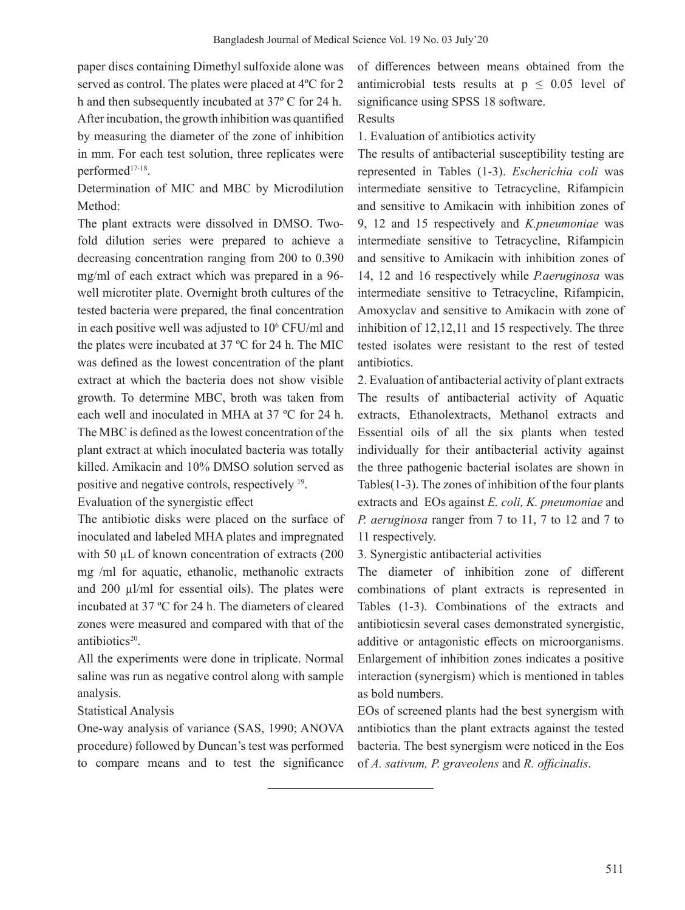paper discs containing Dimethyl sulfoxide alone was served as control. The plates were placed at 4ºC for 2 h and then subsequently incubated at 37º C for 24 h. After incubation, the growth inhibition was quantified by measuring the diameter of the zone of inhibition in mm. For each test solution, three replicates were performed<sup>17-18</sup>.

Determination of MIC and MBC by Microdilution Method:

The plant extracts were dissolved in DMSO. Twofold dilution series were prepared to achieve a decreasing concentration ranging from 200 to 0.390 mg/ml of each extract which was prepared in a 96 well microtiter plate. Overnight broth cultures of the tested bacteria were prepared, the final concentration in each positive well was adjusted to 106 CFU/ml and the plates were incubated at 37 ºC for 24 h. The MIC was defined as the lowest concentration of the plant extract at which the bacteria does not show visible growth. To determine MBC, broth was taken from each well and inoculated in MHA at 37 ºC for 24 h. The MBC is defined as the lowest concentration of the plant extract at which inoculated bacteria was totally killed. Amikacin and 10% DMSO solution served as positive and negative controls, respectively 19.

Evaluation of the synergistic effect

The antibiotic disks were placed on the surface of inoculated and labeled MHA plates and impregnated with 50  $\mu$ L of known concentration of extracts (200 mg /ml for aquatic, ethanolic, methanolic extracts and 200 µl/ml for essential oils). The plates were incubated at 37 ºC for 24 h. The diameters of cleared zones were measured and compared with that of the antibiotics<sup>20</sup>.

All the experiments were done in triplicate. Normal saline was run as negative control along with sample analysis.

## Statistical Analysis

One-way analysis of variance (SAS, 1990; ANOVA procedure) followed by Duncan's test was performed to compare means and to test the significance

of differences between means obtained from the antimicrobial tests results at  $p \leq 0.05$  level of significance using SPSS 18 software.

# Results

1. Evaluation of antibiotics activity

The results of antibacterial susceptibility testing are represented in Tables (1-3). *Escherichia coli* was intermediate sensitive to Tetracycline, Rifampicin and sensitive to Amikacin with inhibition zones of 9, 12 and 15 respectively and *K.pneumoniae* was intermediate sensitive to Tetracycline, Rifampicin and sensitive to Amikacin with inhibition zones of 14, 12 and 16 respectively while *P.aeruginosa* was intermediate sensitive to Tetracycline, Rifampicin, Amoxyclav and sensitive to Amikacin with zone of inhibition of 12,12,11 and 15 respectively. The three tested isolates were resistant to the rest of tested antibiotics.

2. Evaluation of antibacterial activity of plant extracts The results of antibacterial activity of Aquatic extracts, Ethanolextracts, Methanol extracts and Essential oils of all the six plants when tested individually for their antibacterial activity against the three pathogenic bacterial isolates are shown in Tables(1-3). The zones of inhibition of the four plants extracts and EOs against *E. coli, K. pneumoniae* and *P. aeruginosa* ranger from 7 to 11, 7 to 12 and 7 to 11 respectively.

3. Synergistic antibacterial activities

The diameter of inhibition zone of different combinations of plant extracts is represented in Tables (1-3). Combinations of the extracts and antibioticsin several cases demonstrated synergistic, additive or antagonistic effects on microorganisms. Enlargement of inhibition zones indicates a positive interaction (synergism) which is mentioned in tables as bold numbers.

EOs of screened plants had the best synergism with antibiotics than the plant extracts against the tested bacteria. The best synergism were noticed in the Eos of *A. sativum, P. graveolens* and *R. officinalis*.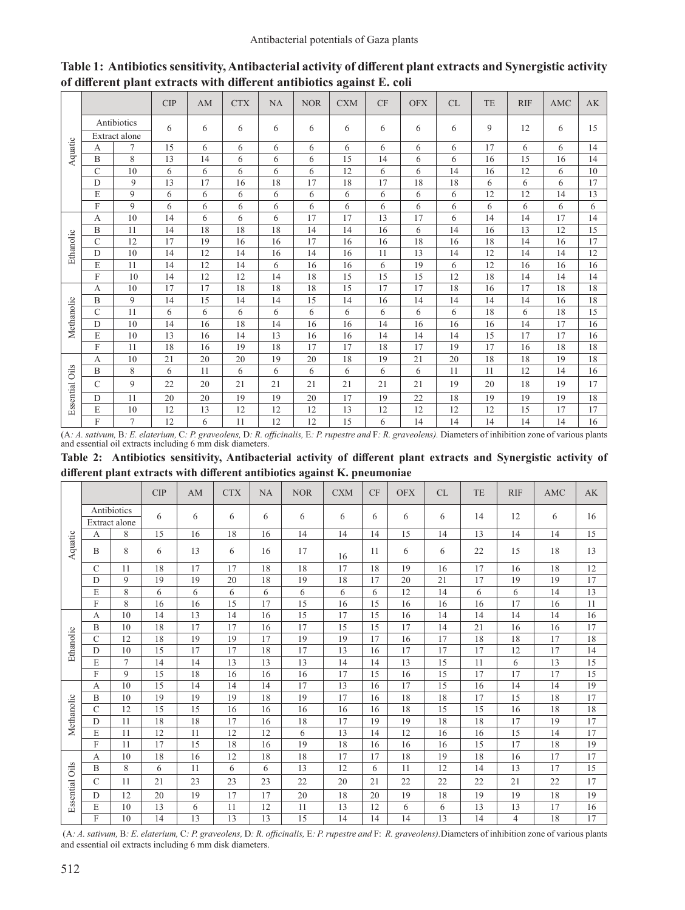|            |                | л.            |     |    |            |    |            | 0          |    |            |    |    |            |            |    |
|------------|----------------|---------------|-----|----|------------|----|------------|------------|----|------------|----|----|------------|------------|----|
|            |                |               | CIP | AM | <b>CTX</b> | NA | <b>NOR</b> | <b>CXM</b> | CF | <b>OFX</b> | CL | TE | <b>RIF</b> | <b>AMC</b> | AK |
|            |                | Antibiotics   | 6   | 6  | 6          | 6  | 6          | 6          | 6  | 6          | 6  | 9  | 12         | 6          | 15 |
|            |                | Extract alone |     |    |            |    |            |            |    |            |    |    |            |            |    |
| Aquatic    | A              | $\tau$        | 15  | 6  | 6          | 6  | 6          | 6          | 6  | 6          | 6  | 17 | 6          | 6          | 14 |
|            | B              | 8             | 13  | 14 | 6          | 6  | 6          | 15         | 14 | 6          | 6  | 16 | 15         | 16         | 14 |
|            | $\mathsf{C}$   | 10            | 6   | 6  | 6          | 6  | 6          | 12         | 6  | 6          | 14 | 16 | 12         | 6          | 10 |
|            | D              | 9             | 13  | 17 | 16         | 18 | 17         | 18         | 17 | 18         | 18 | 6  | 6          | 6          | 17 |
|            | E              | 9             | 6   | 6  | 6          | 6  | 6          | 6          | 6  | 6          | 6  | 12 | 12         | 14         | 13 |
|            | $\overline{F}$ | 9             | 6   | 6  | 6          | 6  | 6          | 6          | 6  | 6          | 6  | 6  | 6          | 6          | 6  |
|            | A              | 10            | 14  | 6  | 6          | 6  | 17         | 17         | 13 | 17         | 6  | 14 | 14         | 17         | 14 |
|            | B              | 11            | 14  | 18 | 18         | 18 | 14         | 14         | 16 | 6          | 14 | 16 | 13         | 12         | 15 |
| Ethanolic  | $\overline{C}$ | 12            | 17  | 19 | 16         | 16 | 17         | 16         | 16 | 18         | 16 | 18 | 14         | 16         | 17 |
|            | $\overline{D}$ | 10            | 14  | 12 | 14         | 16 | 14         | 16         | 11 | 13         | 14 | 12 | 14         | 14         | 12 |
|            | E              | 11            | 14  | 12 | 14         | 6  | 16         | 16         | 6  | 19         | 6  | 12 | 16         | 16         | 16 |
|            | F              | 10            | 14  | 12 | 12         | 14 | 18         | 15         | 15 | 15         | 12 | 18 | 14         | 14         | 14 |
|            | A              | 10            | 17  | 17 | 18         | 18 | 18         | 15         | 17 | 17         | 18 | 16 | 17         | 18         | 18 |
|            | $\mathbf B$    | 9             | 14  | 15 | 14         | 14 | 15         | 14         | 16 | 14         | 14 | 14 | 14         | 16         | 18 |
| Methanolic | $\mathcal{C}$  | 11            | 6   | 6  | 6          | 6  | 6          | 6          | 6  | 6          | 6  | 18 | 6          | 18         | 15 |
|            | D              | 10            | 14  | 16 | 18         | 14 | 16         | 16         | 14 | 16         | 16 | 16 | 14         | 17         | 16 |
|            | E              | 10            | 13  | 16 | 14         | 13 | 16         | 16         | 14 | 14         | 14 | 15 | 17         | 17         | 16 |
|            | F              | 11            | 18  | 16 | 19         | 18 | 17         | 17         | 18 | 17         | 19 | 17 | 16         | 18         | 18 |
|            | A              | 10            | 21  | 20 | 20         | 19 | 20         | 18         | 19 | 21         | 20 | 18 | 18         | 19         | 18 |
| Oils       | $\overline{B}$ | 8             | 6   | 11 | 6          | 6  | 6          | 6          | 6  | 6          | 11 | 11 | 12         | 14         | 16 |
|            | $\mathcal{C}$  | 9             | 22  | 20 | 21         | 21 | 21         | 21         | 21 | 21         | 19 | 20 | 18         | 19         | 17 |
| Essential  | D              | 11            | 20  | 20 | 19         | 19 | 20         | 17         | 19 | 22         | 18 | 19 | 19         | 19         | 18 |
|            | E              | 10            | 12  | 13 | 12         | 12 | 12         | 13         | 12 | 12         | 12 | 12 | 15         | 17         | 17 |
|            | $\overline{F}$ | $\tau$        | 12  | 6  | 11         | 12 | 12         | 15         | 6  | 14         | 14 | 14 | 14         | 14         | 16 |

**Table 1: Antibiotics sensitivity, Antibacterial activity of different plant extracts and Synergistic activity of different plant extracts with different antibiotics against E. coli**

(A: A. sativum, B: E. elaterium, C: P. graveolens, D: R. officinalis, E: P. rupestre and F: R. graveolens). Diameters of inhibition zone of various plants and essential oil extracts including 6 mm disk diameters.

|  | Table 2: Antibiotics sensitivity, Antibacterial activity of different plant extracts and Synergistic activity of |  |  |  |  |  |
|--|------------------------------------------------------------------------------------------------------------------|--|--|--|--|--|
|  | different plant extracts with different antibiotics against K. pneumoniae                                        |  |  |  |  |  |

|                |                |                              | CIP | AM | <b>CTX</b> | <b>NA</b> | <b>NOR</b> | <b>CXM</b> | CF | <b>OFX</b> | CL | TE | <b>RIF</b>     | <b>AMC</b> | AK |
|----------------|----------------|------------------------------|-----|----|------------|-----------|------------|------------|----|------------|----|----|----------------|------------|----|
|                |                | Antibiotics<br>Extract alone | 6   | 6  | 6          | 6         | 6          | 6          | 6  | 6          | 6  | 14 | 12             | 6          | 16 |
|                | A              | 8                            | 15  | 16 | 18         | 16        | 14         | 14         | 14 | 15         | 14 | 13 | 14             | 14         | 15 |
| Aquatic        | B              | 8                            | 6   | 13 | 6          | 16        | 17         | 16         | 11 | 6          | 6  | 22 | 15             | 18         | 13 |
|                | $\mathcal{C}$  | 11                           | 18  | 17 | 17         | 18        | 18         | 17         | 18 | 19         | 16 | 17 | 16             | 18         | 12 |
|                | D              | 9                            | 19  | 19 | 20         | 18        | 19         | 18         | 17 | 20         | 21 | 17 | 19             | 19         | 17 |
|                | E              | 8                            | 6   | 6  | 6          | 6         | 6          | 6          | 6  | 12         | 14 | 6  | 6              | 14         | 13 |
|                | $\mathbf{F}$   | 8                            | 16  | 16 | 15         | 17        | 15         | 16         | 15 | 16         | 16 | 16 | 17             | 16         | 11 |
|                | A              | 10                           | 14  | 13 | 14         | 16        | 15         | 17         | 15 | 16         | 14 | 14 | 14             | 14         | 16 |
|                | B              | 10                           | 18  | 17 | 17         | 16        | 17         | 15         | 15 | 17         | 14 | 21 | 16             | 16         | 17 |
|                | $\mathcal{C}$  | 12                           | 18  | 19 | 19         | 17        | 19         | 19         | 17 | 16         | 17 | 18 | 18             | 17         | 18 |
| Ethanolic      | D              | 10                           | 15  | 17 | 17         | 18        | 17         | 13         | 16 | 17         | 17 | 17 | 12             | 17         | 14 |
|                | E              | $\overline{7}$               | 14  | 14 | 13         | 13        | 13         | 14         | 14 | 13         | 15 | 11 | 6              | 13         | 15 |
|                | $\mathbf{F}$   | 9                            | 15  | 18 | 16         | 16        | 16         | 17         | 15 | 16         | 15 | 17 | 17             | 17         | 15 |
|                | A              | 10                           | 15  | 14 | 14         | 14        | 17         | 13         | 16 | 17         | 15 | 16 | 14             | 14         | 19 |
|                | B              | 10                           | 19  | 19 | 19         | 18        | 19         | 17         | 16 | 18         | 18 | 17 | 15             | 18         | 17 |
|                | $\mathcal{C}$  | 12                           | 15  | 15 | 16         | 16        | 16         | 16         | 16 | 18         | 15 | 15 | 16             | 18         | 18 |
| Methanolic     | D              | 11                           | 18  | 18 | 17         | 16        | 18         | 17         | 19 | 19         | 18 | 18 | 17             | 19         | 17 |
|                | E              | 11                           | 12  | 11 | 12         | 12        | 6          | 13         | 14 | 12         | 16 | 16 | 15             | 14         | 17 |
|                | $\mathbf F$    | 11                           | 17  | 15 | 18         | 16        | 19         | 18         | 16 | 16         | 16 | 15 | 17             | 18         | 19 |
|                | A              | 10                           | 18  | 16 | 12         | 18        | 18         | 17         | 17 | 18         | 19 | 18 | 16             | 17         | 17 |
|                | $\overline{B}$ | 8                            | 6   | 11 | 6          | 6         | 13         | 12         | 6  | 11         | 12 | 14 | 13             | 17         | 15 |
| Essential Oils | $\mathcal{C}$  | 11                           | 21  | 23 | 23         | 23        | 22         | 20         | 21 | 22         | 22 | 22 | 21             | 22         | 17 |
|                | D              | 12                           | 20  | 19 | 17         | 17        | 20         | 18         | 20 | 19         | 18 | 19 | 19             | 18         | 19 |
|                | E              | 10                           | 13  | 6  | 11         | 12        | 11         | 13         | 12 | 6          | 6  | 13 | 13             | 17         | 16 |
|                | $\mathbf{F}$   | 10                           | 14  | 13 | 13         | 13        | 15         | 14         | 14 | 14         | 13 | 14 | $\overline{4}$ | 18         | 17 |

 (A*: A. sativum,* B*: E. elaterium,* C*: P. graveolens,* D*: R. officinalis,* E*: P. rupestre and* F: *R. graveolens).*Diameters of inhibition zone of various plants and essential oil extracts including 6 mm disk diameters.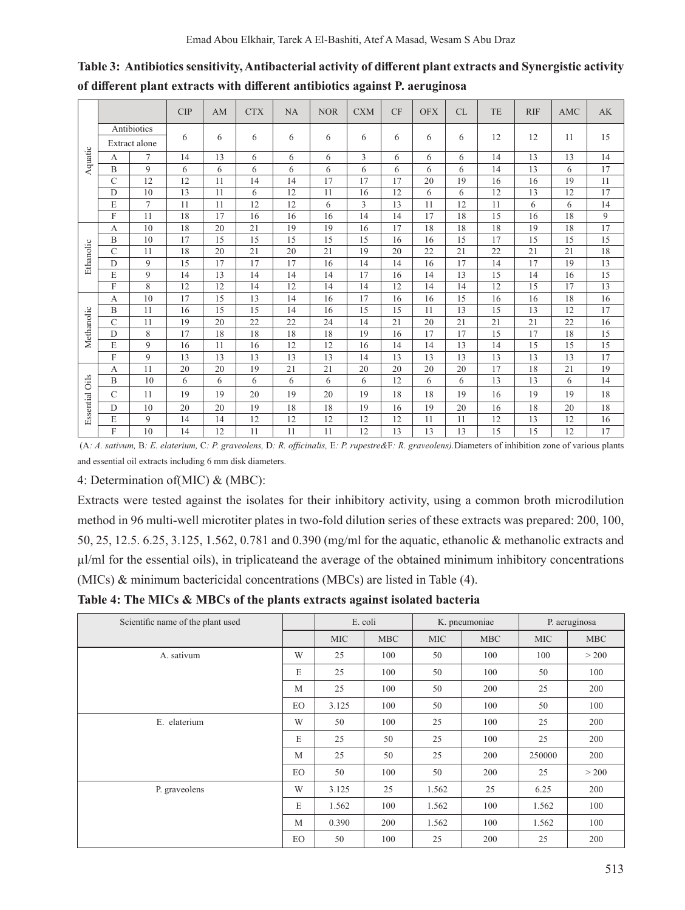|            |                |               | CIP | AM | <b>CTX</b> | <b>NA</b> | <b>NOR</b> | <b>CXM</b> | CF | <b>OFX</b> | CL | TE | <b>RIF</b> | <b>AMC</b> | AK |    |
|------------|----------------|---------------|-----|----|------------|-----------|------------|------------|----|------------|----|----|------------|------------|----|----|
|            | Antibiotics    |               |     |    |            |           |            |            |    |            |    |    |            |            |    |    |
|            |                | Extract alone | 6   |    | 6          | 6         | 6          | 6          | 6  | 6          | 6  | 6  | 12         | 12         | 11 | 15 |
| Aquatic    | A              | 7             | 14  | 13 | 6          | 6         | 6          | 3          | 6  | 6          | 6  | 14 | 13         | 13         | 14 |    |
|            | B              | 9             | 6   | 6  | 6          | 6         | 6          | 6          | 6  | 6          | 6  | 14 | 13         | 6          | 17 |    |
|            | $\mathcal{C}$  | 12            | 12  | 11 | 14         | 14        | 17         | 17         | 17 | 20         | 19 | 16 | 16         | 19         | 11 |    |
|            | D              | 10            | 13  | 11 | 6          | 12        | 11         | 16         | 12 | 6          | 6  | 12 | 13         | 12         | 17 |    |
|            | E              | $\tau$        | 11  | 11 | 12         | 12        | 6          | 3          | 13 | 11         | 12 | 11 | 6          | 6          | 14 |    |
|            | F              | 11            | 18  | 17 | 16         | 16        | 16         | 14         | 14 | 17         | 18 | 15 | 16         | 18         | 9  |    |
|            | А              | 10            | 18  | 20 | 21         | 19        | 19         | 16         | 17 | 18         | 18 | 18 | 19         | 18         | 17 |    |
|            | B              | 10            | 17  | 15 | 15         | 15        | 15         | 15         | 16 | 16         | 15 | 17 | 15         | 15         | 15 |    |
| Ethanolic  | $\overline{C}$ | 11            | 18  | 20 | 21         | 20        | 21         | 19         | 20 | 22         | 21 | 22 | 21         | 21         | 18 |    |
|            | D              | 9             | 15  | 17 | 17         | 17        | 16         | 14         | 14 | 16         | 17 | 14 | 17         | 19         | 13 |    |
|            | E              | 9             | 14  | 13 | 14         | 14        | 14         | 17         | 16 | 14         | 13 | 15 | 14         | 16         | 15 |    |
|            | $\overline{F}$ | 8             | 12  | 12 | 14         | 12        | 14         | 14         | 12 | 14         | 14 | 12 | 15         | 17         | 13 |    |
|            | А              | 10            | 17  | 15 | 13         | 14        | 16         | 17         | 16 | 16         | 15 | 16 | 16         | 18         | 16 |    |
|            | $\overline{B}$ | 11            | 16  | 15 | 15         | 14        | 16         | 15         | 15 | 11         | 13 | 15 | 13         | 12         | 17 |    |
| Methanolic | $\mathcal{C}$  | 11            | 19  | 20 | 22         | 22        | 24         | 14         | 21 | 20         | 21 | 21 | 21         | 22         | 16 |    |
|            | D              | 8             | 17  | 18 | 18         | 18        | 18         | 19         | 16 | 17         | 17 | 15 | 17         | 18         | 15 |    |
|            | $\mathbf E$    | 9             | 16  | 11 | 16         | 12        | 12         | 16         | 14 | 14         | 13 | 14 | 15         | 15         | 15 |    |
|            | $\mathbf{F}$   | 9             | 13  | 13 | 13         | 13        | 13         | 14         | 13 | 13         | 13 | 13 | 13         | 13         | 17 |    |
|            | $\overline{A}$ | 11            | 20  | 20 | 19         | 21        | 21         | 20         | 20 | 20         | 20 | 17 | 18         | 21         | 19 |    |
| Oils       | B              | 10            | 6   | 6  | 6          | 6         | 6          | 6          | 12 | 6          | 6  | 13 | 13         | 6          | 14 |    |
|            | $\mathcal{C}$  | 11            | 19  | 19 | 20         | 19        | 20         | 19         | 18 | 18         | 19 | 16 | 19         | 19         | 18 |    |
| Essential  | D              | 10            | 20  | 20 | 19         | 18        | 18         | 19         | 16 | 19         | 20 | 16 | 18         | 20         | 18 |    |
|            | E              | 9             | 14  | 14 | 12         | 12        | 12         | 12         | 12 | 11         | 11 | 12 | 13         | 12         | 16 |    |
|            | $\mathbf{F}$   | 10            | 14  | 12 | 11         | 11        | 11         | 12         | 13 | 13         | 13 | 15 | 15         | 12         | 17 |    |

**Table 3: Antibiotics sensitivity, Antibacterial activity of different plant extracts and Synergistic activity of different plant extracts with different antibiotics against P. aeruginosa**

 (A*: A. sativum,* B*: E. elaterium,* C*: P. graveolens,* D*: R. officinalis,* E*: P. rupestre&*F*: R. graveolens).*Diameters of inhibition zone of various plants and essential oil extracts including 6 mm disk diameters.

## 4: Determination of(MIC) & (MBC):

Extracts were tested against the isolates for their inhibitory activity, using a common broth microdilution method in 96 multi-well microtiter plates in two-fold dilution series of these extracts was prepared: 200, 100, 50, 25, 12.5. 6.25, 3.125, 1.562, 0.781 and 0.390 (mg/ml for the aquatic, ethanolic & methanolic extracts and µl/ml for the essential oils), in triplicateand the average of the obtained minimum inhibitory concentrations (MICs) & minimum bactericidal concentrations (MBCs) are listed in Table (4).

**Table 4: The MICs & MBCs of the plants extracts against isolated bacteria**

| Scientific name of the plant used |           |            | E. coli    |            | K. pneumoniae | P. aeruginosa |            |  |
|-----------------------------------|-----------|------------|------------|------------|---------------|---------------|------------|--|
|                                   |           | <b>MIC</b> | <b>MBC</b> | <b>MIC</b> | <b>MBC</b>    | <b>MIC</b>    | <b>MBC</b> |  |
| A. sativum                        | W         | 25         | 100        | 50         | 100           | 100           | > 200      |  |
|                                   | E         | 25         | 100        | 50         | 100           | 50            | 100        |  |
|                                   | M         | 25         | 100        | 50         | 200           | 25            | 200        |  |
|                                   | <b>EO</b> | 3.125      | 100        | 50         | 100           | 50            | 100        |  |
| E. elaterium                      | W         | 50         | 100        | 25         | 100           | 25            | 200        |  |
|                                   | E         | 25         | 50         | 25         | 100           | 25            | 200        |  |
|                                   | M         | 25         | 50         | 25         | 200           | 250000        | 200        |  |
|                                   | <b>EO</b> | 50         | 100        | 50         | 200           | 25            | > 200      |  |
| P. graveolens                     | W         | 3.125      | 25         | 1.562      | 25            | 6.25          | 200        |  |
|                                   | E         | 1.562      | 100        | 1.562      | 100           | 1.562         | 100        |  |
|                                   | M         | 0.390      | 200        | 1.562      | 100           | 1.562         | 100        |  |
|                                   | <b>EO</b> | 50         | 100        | 25         | 200           | 25            | 200        |  |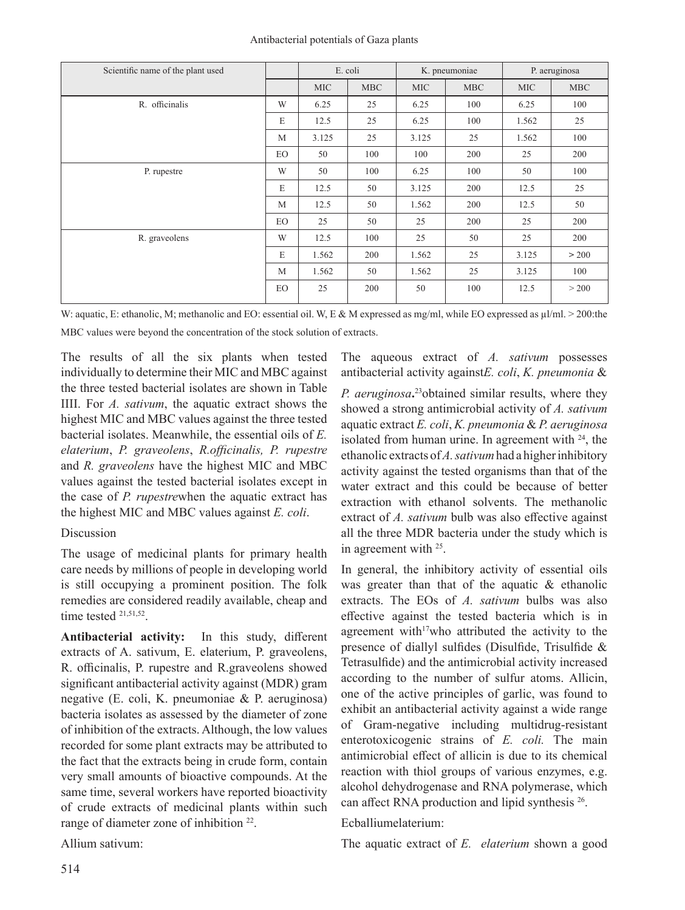#### Antibacterial potentials of Gaza plants

| Scientific name of the plant used |           |            | E. coli    | K. pneumoniae |            |            | P. aeruginosa |  |
|-----------------------------------|-----------|------------|------------|---------------|------------|------------|---------------|--|
|                                   |           | <b>MIC</b> | <b>MBC</b> | <b>MIC</b>    | <b>MBC</b> | <b>MIC</b> | <b>MBC</b>    |  |
| R. officinalis                    | W         | 6.25       | 25         | 6.25          | 100        | 6.25       | 100           |  |
|                                   | E         | 12.5       | 25         | 6.25          | 100        | 1.562      | 25            |  |
|                                   | M         | 3.125      | 25         | 3.125         | 25         | 1.562      | 100           |  |
|                                   | <b>EO</b> | 50         | 100        | 100           | 200        | 25         | 200           |  |
| P. rupestre                       | W         | 50         | 100        | 6.25          | 100        | 50         | 100           |  |
|                                   | E         | 12.5       | 50         | 3.125         | 200        | 12.5       | 25            |  |
|                                   | M         | 12.5       | 50         | 1.562         | 200        | 12.5       | 50            |  |
|                                   | <b>EO</b> | 25         | 50         | 25            | 200        | 25         | 200           |  |
| R. graveolens                     | W         | 12.5       | 100        | 25            | 50         | 25         | 200           |  |
|                                   | E         | 1.562      | 200        | 1.562         | 25         | 3.125      | > 200         |  |
|                                   | M         | 1.562      | 50         | 1.562         | 25         | 3.125      | 100           |  |
|                                   | EO        | 25         | 200        | 50            | 100        | 12.5       | > 200         |  |

W: aquatic, E: ethanolic, M; methanolic and EO: essential oil. W, E & M expressed as mg/ml, while EO expressed as  $\mu$ l/ml. > 200:the MBC values were beyond the concentration of the stock solution of extracts.

The results of all the six plants when tested individually to determine their MIC and MBC against the three tested bacterial isolates are shown in Table IIII. For *A. sativum*, the aquatic extract shows the highest MIC and MBC values against the three tested bacterial isolates. Meanwhile, the essential oils of *E. elaterium*, *P. graveolens*, *R.officinalis, P. rupestre* and *R. graveolens* have the highest MIC and MBC values against the tested bacterial isolates except in the case of *P. rupestre*when the aquatic extract has the highest MIC and MBC values against *E. coli*.

## Discussion

The usage of medicinal plants for primary health care needs by millions of people in developing world is still occupying a prominent position. The folk remedies are considered readily available, cheap and time tested <sup>21,51,52</sup>.

**Antibacterial activity:** In this study, different extracts of A. sativum, E. elaterium, P. graveolens, R. officinalis, P. rupestre and R.graveolens showed significant antibacterial activity against (MDR) gram negative (E. coli, K. pneumoniae & P. aeruginosa) bacteria isolates as assessed by the diameter of zone of inhibition of the extracts. Although, the low values recorded for some plant extracts may be attributed to the fact that the extracts being in crude form, contain very small amounts of bioactive compounds. At the same time, several workers have reported bioactivity of crude extracts of medicinal plants within such range of diameter zone of inhibition 22.

The aqueous extract of *A. sativum* possesses antibacterial activity against*E. coli*, *K. pneumonia* &

*P. aeruginosa***.** <sup>23</sup>obtained similar results, where they showed a strong antimicrobial activity of *A. sativum* aquatic extract *E. coli*, *K. pneumonia* & *P. aeruginosa* isolated from human urine. In agreement with 24, the ethanolic extracts of *A. sativum* had a higher inhibitory activity against the tested organisms than that of the water extract and this could be because of better extraction with ethanol solvents. The methanolic extract of *A. sativum* bulb was also effective against all the three MDR bacteria under the study which is in agreement with 25.

In general, the inhibitory activity of essential oils was greater than that of the aquatic & ethanolic extracts. The EOs of *A. sativum* bulbs was also effective against the tested bacteria which is in agreement with<sup>17</sup>who attributed the activity to the presence of diallyl sulfides (Disulfide, Trisulfide & Tetrasulfide) and the antimicrobial activity increased according to the number of sulfur atoms. Allicin, one of the active principles of garlic, was found to exhibit an antibacterial activity against a wide range of Gram-negative including multidrug-resistant enterotoxicogenic strains of *E. coli.* The main antimicrobial effect of allicin is due to its chemical reaction with thiol groups of various enzymes, e.g. alcohol dehydrogenase and RNA polymerase, which can affect RNA production and lipid synthesis<sup>26</sup>.

## Ecballiumelaterium:

The aquatic extract of *E. elaterium* shown a good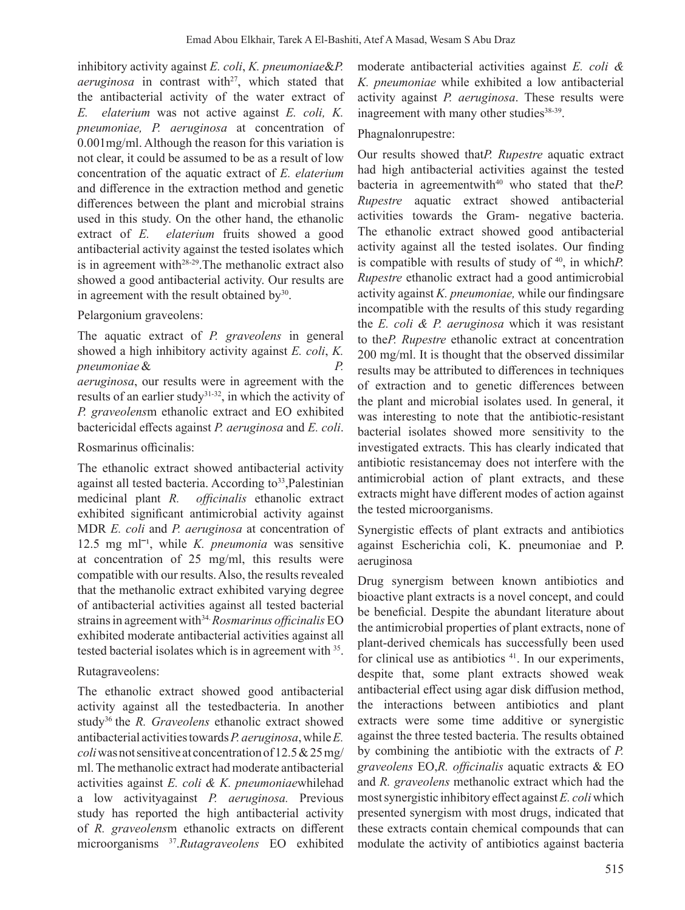inhibitory activity against *E. coli*, *K. pneumoniae*&*P. aeruginosa* in contrast with<sup>27</sup>, which stated that the antibacterial activity of the water extract of *E. elaterium* was not active against *E. coli, K. pneumoniae, P. aeruginosa* at concentration of 0.001mg/ml. Although the reason for this variation is not clear, it could be assumed to be as a result of low concentration of the aquatic extract of *E. elaterium*  and difference in the extraction method and genetic differences between the plant and microbial strains used in this study. On the other hand, the ethanolic extract of *E. elaterium* fruits showed a good antibacterial activity against the tested isolates which is in agreement with $28-29$ . The methanolic extract also showed a good antibacterial activity. Our results are in agreement with the result obtained by<sup>30</sup>.

## Pelargonium graveolens:

The aquatic extract of *P. graveolens* in general showed a high inhibitory activity against *E. coli*, *K. pneumoniae* & *P. aeruginosa*, our results were in agreement with the results of an earlier study<sup>31-32</sup>, in which the activity of *P. graveolens*m ethanolic extract and EO exhibited bactericidal effects against *P. aeruginosa* and *E. coli*.

## Rosmarinus officinalis:

The ethanolic extract showed antibacterial activity against all tested bacteria. According to<sup>33</sup>, Palestinian medicinal plant *R. officinalis* ethanolic extract exhibited significant antimicrobial activity against MDR *E. coli* and *P. aeruginosa* at concentration of 12.5 mg ml<sup>-1</sup>, while *K. pneumonia* was sensitive at concentration of 25 mg/ml, this results were compatible with our results. Also, the results revealed that the methanolic extract exhibited varying degree of antibacterial activities against all tested bacterial strains in agreement with<sup>34</sup> *Rosmarinus officinalis* EO exhibited moderate antibacterial activities against all tested bacterial isolates which is in agreement with <sup>35</sup>.

# Rutagraveolens:

The ethanolic extract showed good antibacterial activity against all the testedbacteria. In another study<sup>36</sup> the *R. Graveolens* ethanolic extract showed antibacterial activitiestowards*P. aeruginosa*,while*E. coli* was not sensitive at concentration of 12.5 & 25 mg/ ml.The methanolic extract had moderate antibacterial activities against *E. coli & K. pneumoniae*whilehad a low activityagainst *P. aeruginosa.* Previous study has reported the high antibacterial activity of *R. graveolens*m ethanolic extracts on different microorganisms <sup>37</sup>.*Rutagraveolens* EO exhibited moderate antibacterial activities against *E. coli & K. pneumoniae* while exhibited a low antibacterial activity against *P. aeruginosa*. These results were inagreement with many other studies $38-39$ .

# Phagnalonrupestre:

Our results showed that*P. Rupestre* aquatic extract had high antibacterial activities against the tested bacteria in agreementwith<sup>40</sup> who stated that the*P*. *Rupestre* aquatic extract showed antibacterial activities towards the Gram- negative bacteria. The ethanolic extract showed good antibacterial activity against all the tested isolates. Our finding is compatible with results of study of <sup>40</sup>, in which*P. Rupestre* ethanolic extract had a good antimicrobial activity against *K. pneumoniae,* while our findingsare incompatible with the results of this study regarding the *E. coli & P. aeruginosa* which it was resistant to the*P. Rupestre* ethanolic extract at concentration 200 mg/ml. It is thought that the observed dissimilar results may be attributed to differences in techniques of extraction and to genetic differences between the plant and microbial isolates used. In general, it was interesting to note that the antibiotic-resistant bacterial isolates showed more sensitivity to the investigated extracts. This has clearly indicated that antibiotic resistancemay does not interfere with the antimicrobial action of plant extracts, and these extracts might have different modes of action against the tested microorganisms.

Synergistic effects of plant extracts and antibiotics against Escherichia coli, K. pneumoniae and P. aeruginosa

Drug synergism between known antibiotics and bioactive plant extracts is a novel concept, and could be beneficial. Despite the abundant literature about the antimicrobial properties of plant extracts, none of plant-derived chemicals has successfully been used for clinical use as antibiotics  $41$ . In our experiments, despite that, some plant extracts showed weak antibacterial effect using agar disk diffusion method, the interactions between antibiotics and plant extracts were some time additive or synergistic against the three tested bacteria. The results obtained by combining the antibiotic with the extracts of *P. graveolens* EO,*R. officinalis* aquatic extracts & EO and *R. graveolens* methanolic extract which had the mostsynergistic inhibitory effect against*E. coli*which presented synergism with most drugs, indicated that these extracts contain chemical compounds that can modulate the activity of antibiotics against bacteria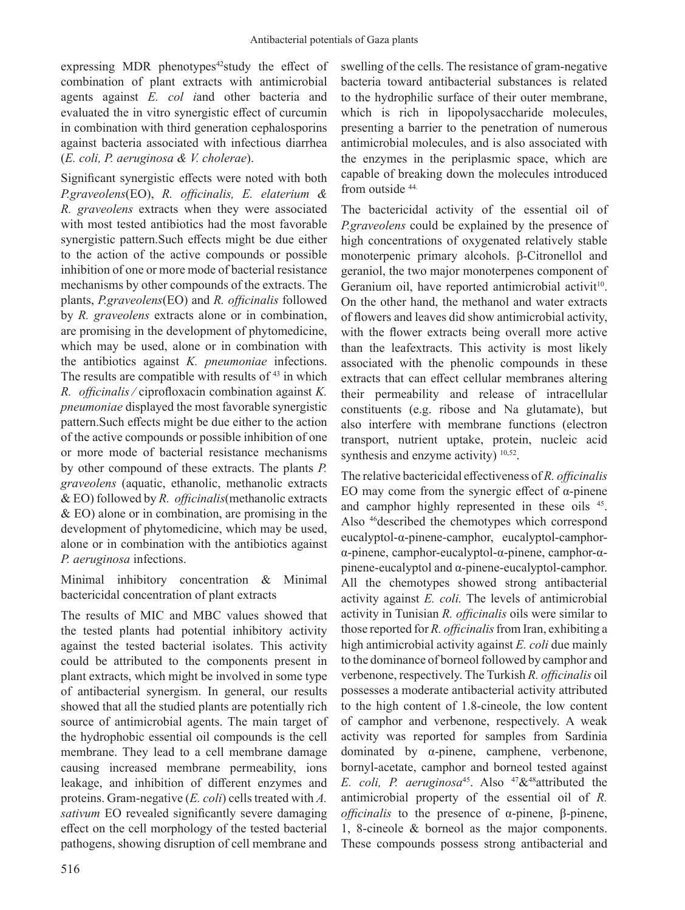expressing MDR phenotypes<sup>42</sup>study the effect of combination of plant extracts with antimicrobial agents against *E. col i*and other bacteria and evaluated the in vitro synergistic effect of curcumin in combination with third generation cephalosporins against bacteria associated with infectious diarrhea (*E. coli, P. aeruginosa & V. cholerae*).

Significant synergistic effects were noted with both *P.graveolens*(EO), *R. officinalis, E. elaterium & R. graveolens* extracts when they were associated with most tested antibiotics had the most favorable synergistic pattern.Such effects might be due either to the action of the active compounds or possible inhibition of one or more mode of bacterial resistance mechanisms by other compounds of the extracts. The plants, *P.graveolens*(EO) and *R. officinalis* followed by *R. graveolens* extracts alone or in combination, are promising in the development of phytomedicine, which may be used, alone or in combination with the antibiotics against *K. pneumoniae* infections. The results are compatible with results of <sup>43</sup> in which *R. officinalis* ⁄ ciprofloxacin combination against *K. pneumoniae* displayed the most favorable synergistic pattern.Such effects might be due either to the action of the active compounds or possible inhibition of one or more mode of bacterial resistance mechanisms by other compound of these extracts. The plants *P. graveolens* (aquatic, ethanolic, methanolic extracts & EO) followed by *R. officinalis*(methanolic extracts & EO) alone or in combination, are promising in the development of phytomedicine, which may be used, alone or in combination with the antibiotics against *P. aeruginosa* infections.

Minimal inhibitory concentration & Minimal bactericidal concentration of plant extracts

The results of MIC and MBC values showed that the tested plants had potential inhibitory activity against the tested bacterial isolates. This activity could be attributed to the components present in plant extracts, which might be involved in some type of antibacterial synergism. In general, our results showed that all the studied plants are potentially rich source of antimicrobial agents. The main target of the hydrophobic essential oil compounds is the cell membrane. They lead to a cell membrane damage causing increased membrane permeability, ions leakage, and inhibition of different enzymes and proteins. Gram-negative (*E. coli*) cells treated with *A. sativum* EO revealed significantly severe damaging effect on the cell morphology of the tested bacterial pathogens, showing disruption of cell membrane and swelling of the cells. The resistance of gram-negative bacteria toward antibacterial substances is related to the hydrophilic surface of their outer membrane, which is rich in lipopolysaccharide molecules, presenting a barrier to the penetration of numerous antimicrobial molecules, and is also associated with the enzymes in the periplasmic space, which are capable of breaking down the molecules introduced from outside 44.

The bactericidal activity of the essential oil of *P.graveolens* could be explained by the presence of high concentrations of oxygenated relatively stable monoterpenic primary alcohols. β-Citronellol and geraniol, the two major monoterpenes component of Geranium oil, have reported antimicrobial activit<sup>10</sup>. On the other hand, the methanol and water extracts of flowers and leaves did show antimicrobial activity, with the flower extracts being overall more active than the leafextracts. This activity is most likely associated with the phenolic compounds in these extracts that can effect cellular membranes altering their permeability and release of intracellular constituents (e.g. ribose and Na glutamate), but also interfere with membrane functions (electron transport, nutrient uptake, protein, nucleic acid synthesis and enzyme activity)  $10,52$ .

The relative bactericidal effectiveness of *R. officinalis* EO may come from the synergic effect of  $\alpha$ -pinene and camphor highly represented in these oils 45. Also 46described the chemotypes which correspond eucalyptol-α-pinene-camphor, eucalyptol-camphorα-pinene, camphor-eucalyptol-α-pinene, camphor-αpinene-eucalyptol and α-pinene-eucalyptol-camphor. All the chemotypes showed strong antibacterial activity against *E. coli.* The levels of antimicrobial activity in Tunisian *R. officinalis* oils were similar to those reported for *R. officinalis* from Iran, exhibiting a high antimicrobial activity against *E. coli* due mainly to the dominance of borneol followed by camphor and verbenone, respectively. The Turkish *R. officinalis* oil possesses a moderate antibacterial activity attributed to the high content of 1.8-cineole, the low content of camphor and verbenone, respectively. A weak activity was reported for samples from Sardinia dominated by α-pinene, camphene, verbenone, bornyl-acetate, camphor and borneol tested against *E. coli, P. aeruginosa*45. Also <sup>47</sup>&<sup>48</sup>attributed the antimicrobial property of the essential oil of *R. officinalis* to the presence of α-pinene, β-pinene, 1, 8-cineole & borneol as the major components. These compounds possess strong antibacterial and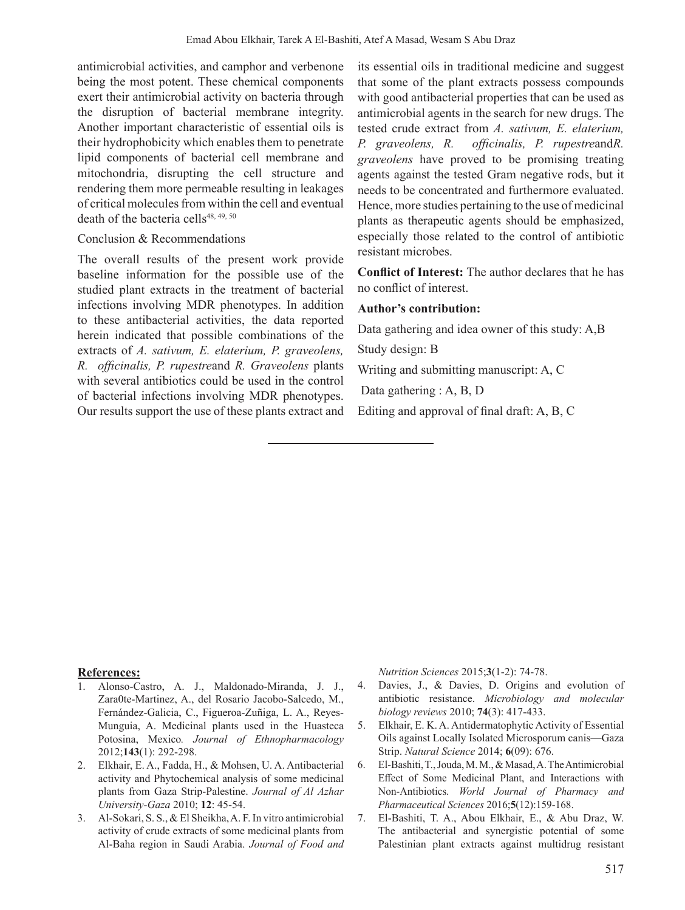antimicrobial activities, and camphor and verbenone being the most potent. These chemical components exert their antimicrobial activity on bacteria through the disruption of bacterial membrane integrity. Another important characteristic of essential oils is their hydrophobicity which enables them to penetrate lipid components of bacterial cell membrane and mitochondria, disrupting the cell structure and rendering them more permeable resulting in leakages of critical molecules from within the cell and eventual death of the bacteria cells<sup>48, 49, 50</sup>

#### Conclusion & Recommendations

The overall results of the present work provide baseline information for the possible use of the studied plant extracts in the treatment of bacterial infections involving MDR phenotypes. In addition to these antibacterial activities, the data reported herein indicated that possible combinations of the extracts of *A. sativum, E. elaterium, P. graveolens, R. officinalis, P. rupestre*and *R. Graveolens* plants with several antibiotics could be used in the control of bacterial infections involving MDR phenotypes. Our results support the use of these plants extract and

its essential oils in traditional medicine and suggest that some of the plant extracts possess compounds with good antibacterial properties that can be used as antimicrobial agents in the search for new drugs. The tested crude extract from *A. sativum, E. elaterium, P. graveolens, R. officinalis, P. rupestre*and*R. graveolens* have proved to be promising treating agents against the tested Gram negative rods, but it needs to be concentrated and furthermore evaluated. Hence, more studies pertaining to the use of medicinal plants as therapeutic agents should be emphasized, especially those related to the control of antibiotic resistant microbes.

**Conflict of Interest:** The author declares that he has no conflict of interest.

## **Author's contribution:**

Data gathering and idea owner of this study: A,B

Study design: B

Writing and submitting manuscript: A, C

Data gathering : A, B, D

Editing and approval of final draft: A, B, C

## **References:**

- 1. Alonso-Castro, A. J., Maldonado-Miranda, J. J., Zara0te-Martinez, A., del Rosario Jacobo-Salcedo, M., Fernández-Galicia, C., Figueroa-Zuñiga, L. A., Reyes-Munguia, A. Medicinal plants used in the Huasteca Potosina, Mexico*. Journal of Ethnopharmacology* 2012;**143**(1): 292-298.
- 2. Elkhair, E. A., Fadda, H., & Mohsen, U. A. Antibacterial activity and Phytochemical analysis of some medicinal plants from Gaza Strip-Palestine. *Journal of Al Azhar University-Gaza* 2010; **12**: 45-54.
- 3. Al-Sokari, S. S., & El Sheikha,A. F.In vitro antimicrobial activity of crude extracts of some medicinal plants from Al-Baha region in Saudi Arabia. *Journal of Food and*

*Nutrition Sciences* 2015;**3**(1-2): 74-78.

- 4. Davies, J., & Davies, D. Origins and evolution of antibiotic resistance. *Microbiology and molecular biology reviews* 2010; **74**(3): 417-433.
- 5. Elkhair, E. K. A. Antidermatophytic Activity of Essential Oils against Locally Isolated Microsporum canis—Gaza Strip. *Natural Science* 2014; **6**(09): 676.
- 6. El-Bashiti,T.,Jouda,M.M.,&Masad,A.TheAntimicrobial Effect of Some Medicinal Plant, and Interactions with Non-Antibiotics. *World Journal of Pharmacy and Pharmaceutical Sciences* 2016;**5**(12):159-168.
- 7. El-Bashiti, T. A., Abou Elkhair, E., & Abu Draz, W. The antibacterial and synergistic potential of some Palestinian plant extracts against multidrug resistant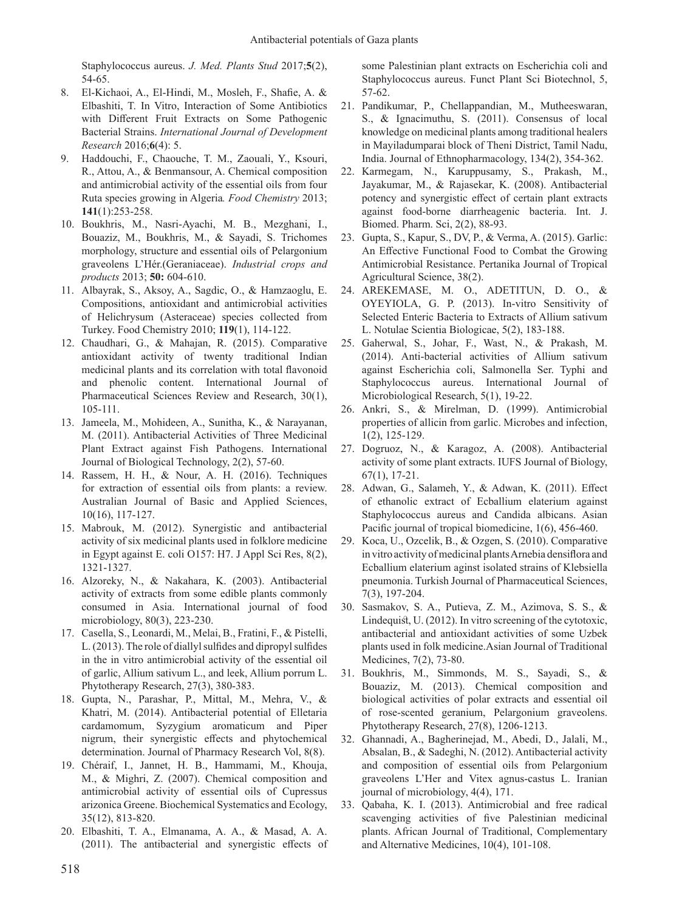Staphylococcus aureus. *J. Med. Plants Stud* 2017;**5**(2), 54-65.

- 8. El-Kichaoi, A., El-Hindi, M., Mosleh, F., Shafie, A. & Elbashiti, T. In Vitro, Interaction of Some Antibiotics with Different Fruit Extracts on Some Pathogenic Bacterial Strains. *International Journal of Development Research* 2016;**6**(4): 5.
- 9. Haddouchi, F., Chaouche, T. M., Zaouali, Y., Ksouri, R., Attou, A., & Benmansour, A. Chemical composition and antimicrobial activity of the essential oils from four Ruta species growing in Algeria*. Food Chemistry* 2013; **141**(1):253-258.
- 10. Boukhris, M., Nasri-Ayachi, M. B., Mezghani, I., Bouaziz, M., Boukhris, M., & Sayadi, S. Trichomes morphology, structure and essential oils of Pelargonium graveolens L'Hér.(Geraniaceae). *Industrial crops and products* 2013; **50:** 604-610.
- 11. Albayrak, S., Aksoy, A., Sagdic, O., & Hamzaoglu, E. Compositions, antioxidant and antimicrobial activities of Helichrysum (Asteraceae) species collected from Turkey. Food Chemistry 2010; **119**(1), 114-122.
- 12. Chaudhari, G., & Mahajan, R. (2015). Comparative antioxidant activity of twenty traditional Indian medicinal plants and its correlation with total flavonoid and phenolic content. International Journal of Pharmaceutical Sciences Review and Research, 30(1), 105-111.
- 13. Jameela, M., Mohideen, A., Sunitha, K., & Narayanan, M. (2011). Antibacterial Activities of Three Medicinal Plant Extract against Fish Pathogens. International Journal of Biological Technology, 2(2), 57-60.
- 14. Rassem, H. H., & Nour, A. H. (2016). Techniques for extraction of essential oils from plants: a review. Australian Journal of Basic and Applied Sciences, 10(16), 117-127.
- 15. Mabrouk, M. (2012). Synergistic and antibacterial activity of six medicinal plants used in folklore medicine in Egypt against E. coli O157: H7. J Appl Sci Res, 8(2), 1321-1327.
- 16. Alzoreky, N., & Nakahara, K. (2003). Antibacterial activity of extracts from some edible plants commonly consumed in Asia. International journal of food microbiology, 80(3), 223-230.
- 17. Casella, S., Leonardi, M., Melai, B., Fratini, F., & Pistelli, L. (2013). The role of diallyl sulfides and dipropyl sulfides in the in vitro antimicrobial activity of the essential oil of garlic, Allium sativum L., and leek, Allium porrum L. Phytotherapy Research, 27(3), 380-383.
- 18. Gupta, N., Parashar, P., Mittal, M., Mehra, V., & Khatri, M. (2014). Antibacterial potential of Elletaria cardamomum, Syzygium aromaticum and Piper nigrum, their synergistic effects and phytochemical determination. Journal of Pharmacy Research Vol, 8(8).
- 19. Chéraif, I., Jannet, H. B., Hammami, M., Khouja, M., & Mighri, Z. (2007). Chemical composition and antimicrobial activity of essential oils of Cupressus arizonica Greene. Biochemical Systematics and Ecology, 35(12), 813-820.
- 20. Elbashiti, T. A., Elmanama, A. A., & Masad, A. A. (2011). The antibacterial and synergistic effects of

some Palestinian plant extracts on Escherichia coli and Staphylococcus aureus. Funct Plant Sci Biotechnol, 5, 57-62.

- 21. Pandikumar, P., Chellappandian, M., Mutheeswaran, S., & Ignacimuthu, S. (2011). Consensus of local knowledge on medicinal plants among traditional healers in Mayiladumparai block of Theni District, Tamil Nadu, India. Journal of Ethnopharmacology, 134(2), 354-362.
- 22. Karmegam, N., Karuppusamy, S., Prakash, M., Jayakumar, M., & Rajasekar, K. (2008). Antibacterial potency and synergistic effect of certain plant extracts against food-borne diarrheagenic bacteria. Int. J. Biomed. Pharm. Sci, 2(2), 88-93.
- 23. Gupta, S., Kapur, S., DV, P., & Verma, A. (2015). Garlic: An Effective Functional Food to Combat the Growing Antimicrobial Resistance. Pertanika Journal of Tropical Agricultural Science, 38(2).
- 24. AREKEMASE, M. O., ADETITUN, D. O., & OYEYIOLA, G. P. (2013). In-vitro Sensitivity of Selected Enteric Bacteria to Extracts of Allium sativum L. Notulae Scientia Biologicae, 5(2), 183-188.
- 25. Gaherwal, S., Johar, F., Wast, N., & Prakash, M. (2014). Anti-bacterial activities of Allium sativum against Escherichia coli, Salmonella Ser. Typhi and Staphylococcus aureus. International Journal of Microbiological Research, 5(1), 19-22.
- 26. Ankri, S., & Mirelman, D. (1999). Antimicrobial properties of allicin from garlic. Microbes and infection, 1(2), 125-129.
- 27. Dogruoz, N., & Karagoz, A. (2008). Antibacterial activity of some plant extracts. IUFS Journal of Biology, 67(1), 17-21.
- 28. Adwan, G., Salameh, Y., & Adwan, K. (2011). Effect of ethanolic extract of Ecballium elaterium against Staphylococcus aureus and Candida albicans. Asian Pacific journal of tropical biomedicine, 1(6), 456-460.
- 29. Koca, U., Ozcelik, B., & Ozgen, S. (2010). Comparative in vitro activity of medicinal plants Arnebia densiflora and Ecballium elaterium aginst isolated strains of Klebsiella pneumonia. Turkish Journal of Pharmaceutical Sciences, 7(3), 197-204.
- 30. Sasmakov, S. A., Putieva, Z. M., Azimova, S. S., & Lindequist, U. (2012). In vitro screening of the cytotoxic, antibacterial and antioxidant activities of some Uzbek plants used in folk medicine.Asian Journal of Traditional Medicines, 7(2), 73-80.
- 31. Boukhris, M., Simmonds, M. S., Sayadi, S., & Bouaziz, M. (2013). Chemical composition and biological activities of polar extracts and essential oil of rose‐scented geranium, Pelargonium graveolens. Phytotherapy Research, 27(8), 1206-1213.
- 32. Ghannadi, A., Bagherinejad, M., Abedi, D., Jalali, M., Absalan, B., & Sadeghi, N. (2012). Antibacterial activity and composition of essential oils from Pelargonium graveolens L'Her and Vitex agnus-castus L. Iranian journal of microbiology, 4(4), 171.
- 33. Qabaha, K. I. (2013). Antimicrobial and free radical scavenging activities of five Palestinian medicinal plants. African Journal of Traditional, Complementary and Alternative Medicines, 10(4), 101-108.